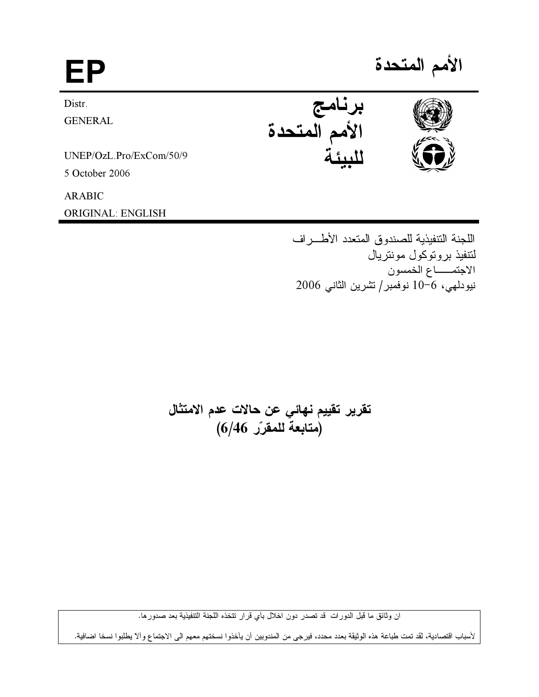برنامج<br>الأمم المتحدة<br>.. Distr. **GENERAL** UNEP/OzL.Pro/ExCom/50/9 5 October 2006 **ARABIC** ORIGINAL: ENGLISH

> اللجنة التتفيذية للصندوق المتعدد الأطـــراف لتتفيذ بروتوكول مونتريال الاجتمـــاع الخمسون نيودلمهي، 6-10 نوفمبر/تشرين الثاني 2006

تقرير تقييم نهائي عن حالات عدم الامتثال (متابعة للمقرّر 6/46)

ان وثائق ما قبل الدورات قد تصدر دون اخلال بأي قرار تتخذه اللجنة التنفيذية بعد صدورها.

لأسباب اقتصادية، لقد تمت طباعة هذه الوثيقة بعدد محدد، فيرجى من المندوبين أن يأخذوا نسختهم معهم الى الاجتماع وألا يطلبوا نسخا اضافية.



الأمم المتحدة

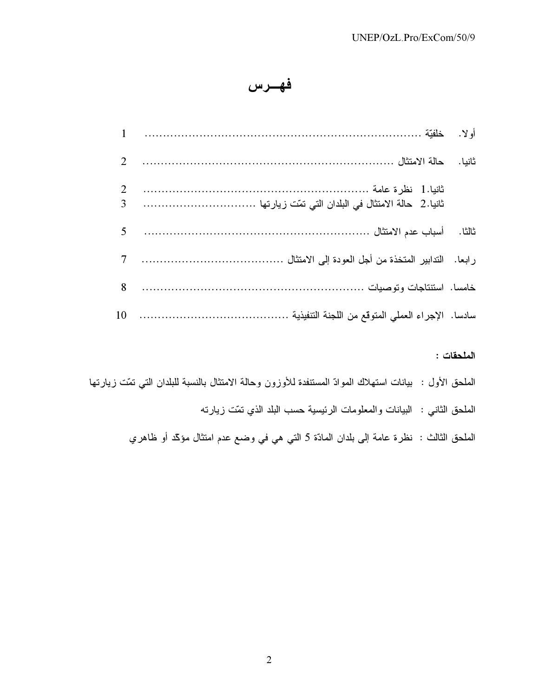## فهرس

|  | $\mathbf{1}$        |
|--|---------------------|
|  | 2                   |
|  | 2<br>$\overline{3}$ |
|  | 5                   |
|  | $7\overline{ }$     |
|  | 8                   |
|  | 10                  |

الملحقات :

| الملحق الأول :  بيانات استهلاك الموادّ المستنفدة للأوزون وحالة الامتثال بالنسبة للبلدان التي تمّت زيارتها |
|-----------------------------------------------------------------------------------------------------------|
| الملحق الثاني :  البيانات والمعلومات الرئيسية حسب البلد الذي تمّت زيارته                                  |
| الملحق الثالث : نظرة عامة إلى بلدان المادّة 5 التي هي في وضع عدم امتثال مؤكّد أو ظاهري                    |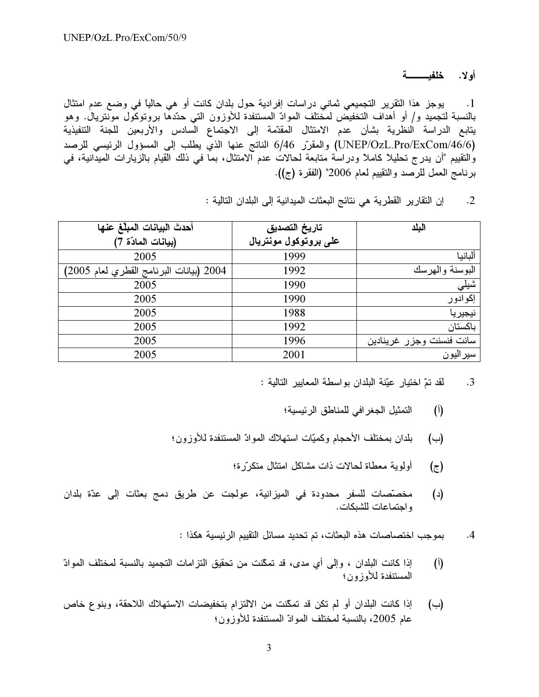أولا. خلفيــــــــــة

وجز هذا النقرير التجميعي ثماني دراسات إفرادية حول بلدان كانت أو هي حالياً في وضع عدم امتثال .1 بالنسبة لتجميد و/ أو أهداف التخفيض لمختلف الموادّ المستنفدة للأوزون التي حدّدها بروتوكول مونتريال. وهو يتابع الدراسة النظرية بشأن عدم الامتثال المقدّمة إلى الاجتماع السادس والأربعين للجنة التنفيذية (UNEP/OzL.Pro/ExCom/46/6) والمقرّر 6/46 الناتج عنها الذيّ يطلب إلى المسؤول الرئيسي للرصد والتقييم "أن يدرج تحليلاً كاملاً ودراسة متابعة لحالات عدم الامتثال، بما في ذلك القيام بالزيارات الميدانية، في برنامجُ العمل للرَّصدِ والنُّقييمِ لعامِ 2006" (الفقرة (ج)).

2. إن التقارير القطرية هي نتائج البعثات الميدانية إلى البلدان التالية :

| أحدث البيانات المبلّغ عنها              | تاريخ التصديق         | اليلد                    |
|-----------------------------------------|-----------------------|--------------------------|
| (بيانات المادّة 7)                      | على بروتوكول مونتريال |                          |
| 2005                                    | 1999                  | ألبانيا                  |
| 2004 (بيانات البرنامج القطري لعام 2005) | 1992                  | البوسنة والهرسك          |
| 2005                                    | 1990                  | شيلي                     |
| 2005                                    | 1990                  | إكوادور                  |
| 2005                                    | 1988                  | نيجيريا                  |
| 2005                                    | 1992                  | باكستان                  |
| 2005                                    | 1996                  | سانت فنسنت وجزر غرينادين |
| 2005                                    | 2001                  | سيراليون                 |

<sup>3.</sup> لقد تمّ اختيار عيّنة البلدان بواسطة المعايير التالية :

- (أ) التمثيل الجغر افي للمناطق الر ئيسية؛
- (ب) بلدان بمختلف الأحجام وكميّات استهلاك الموادّ المستنفدة للأوزون؛
	- ولوية معطاة لحالات ذات مشاكل امتثال متكرّرة؛  $(\tau)$
- (د) مخصّصات للسفر محدودة في الميزانية، عولجت عن طريق دمج بعثات إلى عدّة بلدان واجتماعات للشبكات.

وجب اختصاصات هذه البعثات، تم تحديد مسائل التقييم الرئيسية هكذا : .4

- (أ) إذا كانت البلدان ، وإلى أي مدى، قد تمكّنت من تحقيق التزامات التجميد بالنسبة لمختلف الموادّ المستنفدة للأوزون؛
- (ب) إذا كانت البلدان أو لم تكن قد تمكّنت من الالتزام بتخفيضات الاستهلاك اللاحقة، وبنوع خاص عام 2005، بالنسبة لمختلف الموادّ المستنفدة للأوزون؛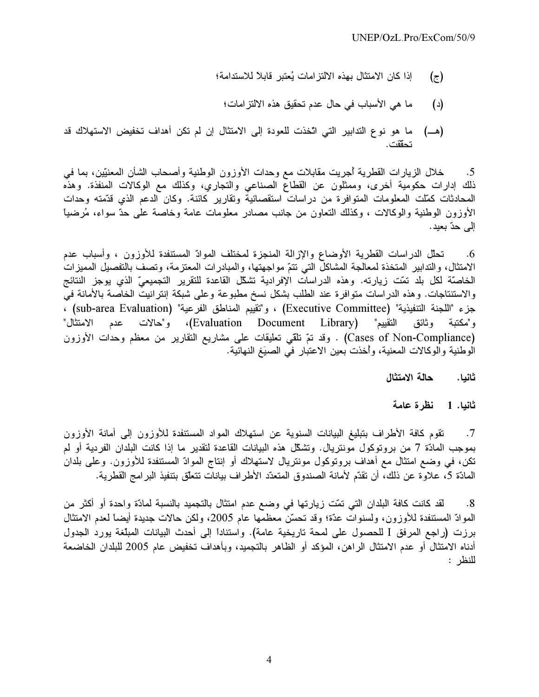- إذا كان الامتثال بهذه الالتز امات يُعتبر قابلاً للاستدامة؛  $(\bar{\sigma})$ 
	- ما هي الأسباب في حال عدم تحقيق هذه الالتز امات؛  $(\iota)$
- ما هو نوع التدابير التي اتَّخذت للعودة إلى الامتثال إن لم تكن أهداف تخفيض الاستهلاك قد (هـــ) تحققت.

خلال الزيارات القطرية أجريت مقابلات مع وحدات الأوزون الوطنية وأصحاب الشأن المعنيّين، بما في  $.5$ ذلك إدارات حكومية أخرى، وممثلون عن القطاع الصناعي والتجاري، وكذلك مع الوكالات المنفذة. وهذه المحادثات كمّلت المعلومات المتوافرة من دراسات استقصائية وتقارير كائنة. وكان الدعم الذي قدّمته وحدات الأوزون الوطنية والوكالات ، وكذلك التعاون من جانب مصادر معلومات عامة وخاصة على حدّ سواء، مُرضياً إلى حدّ بعيد.

تحلَّل الدراسات القطرية الأوضاع والإزالة المنجزة لمختلف الموادِّ المستنفدة للأوزون ، وأسباب عدم .6 الامتثال، والتدابير المتخذة لمعالجة المشاكلُّ التي نتمَّ مواجهتها، والمبادرات المعتزمة، وتصف بالتفصيل المميزات الخاصَّة لكل بلد تمَّت زيارته. وهذه الدراسات الإفرادية تشكَّل القاعدة للتقرير التجميعيّ الذي يوجز النتائج والاستنتاجات. وهذه الدراسات متوافرة عند الطلب بشكل نسخ مطبوعة وعلى شبكة إنترانيت الخاصة بالأمانة في مزء "اللجنة التنفيذية" (Executive Committee) ، و"تقييم المناطق الفرعية" (sub-area Evaluation) ، التقييم" (Evaluation Document Library)، و"حالات عدم الامتثال" و"مكتبة وثائق (Cases of Non-Compliance) . وقد تمّ نلقي تعليقات على مشاريع النقارير من معظم وحدات الأوزون الوطنية والوكالات المعنية، وأخذت بعين الاعتبار في الصيَغ النهائية.

> حالة الامتثال ثانيا.

نظرة عامة ثانيا. 1

تقوم كافة الأطراف بتبليغ البيانات السنوية عن استهلاك المواد المستنفدة للأوزون إلىي أمانة الأوزون  $\cdot$ .7 بموجب المادّة 7 من بروتوكول مونتريال. وتشكّل هذه البيانات القاعدة لتقدير ما إذا كانت البلدان الفردية أو لم نكن، في وضع امتثال مع أهداف بروتوكول مونتريال لاستهلاك أو إنتاج الموادّ المستنفدة للأوزون. وعلى بلدان المادّة 5، علاوة عن ذلك، أن تقدّم لأمانة الصندوق المتعدّد الأطر اف بيانات تتعلّق بتنفيذ البر امج القطر ية.

لَّقد كانت كافة البلدان التي تمَّت زيارتها في وضـع عدم امتثال بالتجميد بالنسبة لمادَّة واحدة أو أكثر من  $.8$ الموادّ المستنفدة للأوزون، ولسنوات عدّة؛ وقد تحسّن معظمها عام 2005، ولكن حالات جديدة أيضاً لعدم الامتثال برزت (راجع المرفق I للحصول على لمحة تاريخية عامة). واستناداً إلى أحدث البيانات المبلغة يورد الجدول أدناه الامتثال أو عدم الامتثال الراهن، المؤكد أو الظاهر بالتجميد، وبأهداف تخفيض عام 2005 للبلدان الخاضعة للنظر :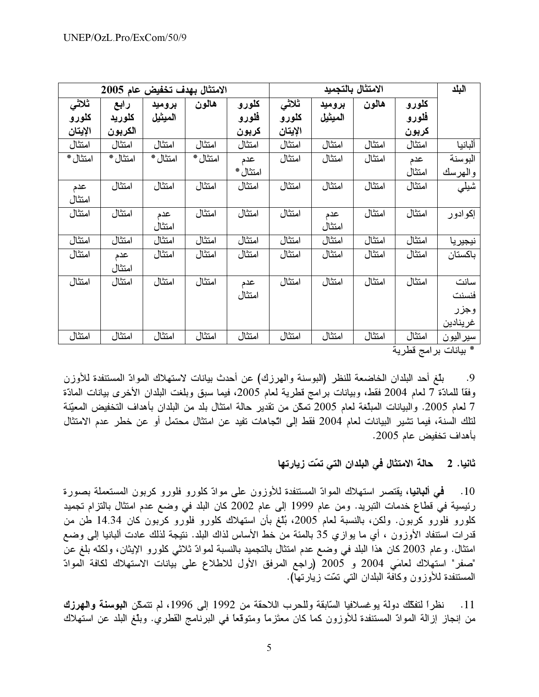|          | الامتثال بهدف تخفيض عام 2005 |          |          |          |         |         | الامتثال بالتجميد |        | البلد     |
|----------|------------------------------|----------|----------|----------|---------|---------|-------------------|--------|-----------|
| ثلاثى    | رابع                         | بروميد   | هالون    | كلورو    | ثلاثى   | بروميد  | هالون             | كلورو  |           |
| كلورو    | كلوريد                       | الميثيل  |          | فلورو    | كلورو   | الميثيل |                   | فلورو  |           |
| الإيتان  | الكربون                      |          |          | كربون    | الإيتان |         |                   | كربون  |           |
| امتثال   | امتثال                       | امتثال   | امتثال   | امتثال   | امتثال  | امتثال  | امتثال            | امتثال | ألبانيا   |
| امتثال * | امتثال *                     | امتثال * | امتثال * | عدم      | امتثال  | امتثال  | امتثال            | عدم    | البوسنة   |
|          |                              |          |          | امتثال * |         |         |                   | امتثال | والهرسك   |
| عدم      | امتثال                       | امتثال   | امتثال   | امتثال   | امتثال  | امتثال  | امتثال            | امتثال | شیلی      |
| امتثال   |                              |          |          |          |         |         |                   |        |           |
| امتثال   | امتثال                       | عدم      | امتثال   | امتثال   | امتثال  | عدم     | امتثال            | امتثال | إكوادور   |
|          |                              | امتثال   |          |          |         | امتثال  |                   |        |           |
| امتثال   | امتثال                       | امتثال   | امتثال   | امتثال   | امتثال  | امتثال  | امتثال            | امتثال | نيجيريا   |
| امتثال   | عدم                          | امتثال   | امتثال   | امتثال   | امتثال  | امتثال  | امتثال            | امتثال | باكستان   |
|          | امتثال                       |          |          |          |         |         |                   |        |           |
| امتثال   | امتثال                       | امتثال   | امتثال   | عدم      | امتثال  | امتثال  | امتثال            | امتثال | سانت      |
|          |                              |          |          | امتثال   |         |         |                   |        | فنسنت     |
|          |                              |          |          |          |         |         |                   |        | وجزر      |
|          |                              |          |          |          |         |         |                   |        | غرينادين  |
| امتثال   | امتثال                       | امتثال   | امتثال   | امتثال   | امتثال  | امتثال  | امتثال            | امتثال | سير اليون |

\* بيانات بر امج قطرية

بلَّغ أحد البلدان الخاضعة للنظر (البوسنة والهرزك) عن أحدث بيانات لاستهلاك الموادّ المستنفدة للأوزن .9 وفقًا للمادّة 7 لعام 2004 فقط، وبيانات برامج قطرية لعام 2005، فيما سبق وبلغت البلدان الأخرى بيانات المادّة 7 لعام 2005. والبيانات المبلغة لعام 2005 تمكّن من تقدير حالة امتثال بلد من البلدان بأهداف التخفيض المعيّنة لتلك السنة، فيما نشير البيانات لعام 2004 فقط إلى اتّجاهات نفيد عن امتثال محتمل أو عن خطر عدم الامتثال بأهداف تخفيض عام 2005.

> حالة الامتثال في البلدان التي تمّت زيارتها ثانيا. 2

فحي ألبانيا، يقتصر استهلاك الموادّ المستنفدة للأوزون على موادّ كلورو فلورو كربون المستعملة بصورة  $\overline{10}$ رئيسية في قطاع خدمات التبريد. ومن عام 1999 إلى عام 2002 كان البلد في وضع عدم امتثال بالتزام تجميد كلورو فلورو كربون. ولكن، بالنسبة لعام 2005، بُلّغ بأن استهلاك كلورو فلورو كربون كان 14.34 طن من قدرات استنفاد الأوزون ، أي ما يوازي 35 بالمئة من خط الأساس لذاك البلد. نتيجة لذلك عادت ألبانيا إلى وضع امتثال. وعام 2003 كان هذا البلد في وضع عدم امتثال بالتجميد بالنسبة لموادّ ثلاثي كلورو الإيثان، ولكنّه بلغ عن "صفر" استهلاك لعامَى 2004 و 2005 (راجع المرفق الأول للاطلاع على بيانات الاستهلاك لكافة الموادّ المستنفدة للأوزون وكافَّة البلدان التي تمَّت زيارتها).

نظراً لتفكُّك دولة يوغسلافيا السّابقة وللحرب اللاحقة من 1992 إلى 1996، لم تتمكَّن البوسنة والهرزك  $.11$ من إنجاز إزالة الموادّ المستنفدة للأوزون كما كان معتَزمًا ومتوقعًا في البرنامج القطري. وبلّغ البلد عن استهلاك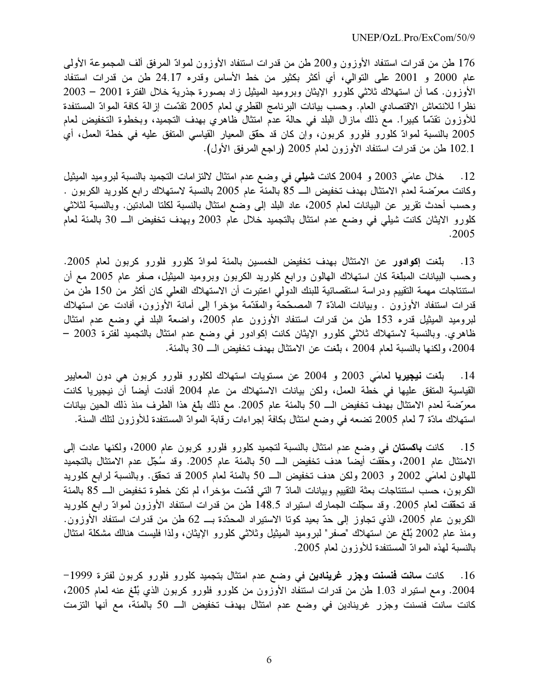176 طن من قدرات استنفاد الأوزون و200 طن من قدرات استنفاد الأوزون لموادّ المرفق ألف المجموعة الأولى عام 2000 و 2001 على التوالي، أي أكثر بكثير من خط الأساس وقدره 24.17 طن من قدرات استنفاد الأوزون. كما أن استهلاك ثلاثى كلُّورو الإيثان وبروميد الميثيل زاد بصورة جذرية خلال الفترة 2001 – 2003 نظراً للانتعاش الاقتصادي العام. وحسب بيانات البرنامج القطري لعام 2005 تقدّمت إزالة كافة الموادّ المستنفدة للأوزون تقدّماً كبيراً. مع ذلك مازال البلد في حالة عدم امتثال ظاهري بهدف التجميد، وبخطوة التخفيض لعام 2005 بالنسبة لموادّ كلوّرو فلورو كربون، وإن كان قد حقق المعيار القياسى المتفق عليه في خطة العمل، أي 102.1 طن من قدرات استنفاد الأوزون لعام 2005 (راجع المرفق الأول).

12. خلال عامَي 2003 و 2004 كانت **شيلي** في وضع عدم امتثال لالتزامات التجميد بالنسبة لبروميد الميثيل وكانت معرّضة لعدم الامتثال بهدف تخفيض الـــ 85 بالمئة عام 2005 بالنسبة لاستهلاك رابع كلوريد الكربون . وحسب أحدث نقرير عن البيانات لعام 2005، عاد البلد إلى وضع امتثال بالنسبة لكلتا المادنين. وبالنسبة لثلاثى كلورو الايثان كانت شيلي في وضع عدم امتثال بالتجميد خلال عام 2003 وبهدف تخفيض الـــ 30 بالمئة لعام .2005

13. بلغت إكوادور عن الامتثال بهدف تخفيض الخمسين بالمئة لموادّ كلورو فلورو كربون لعام 2005. وحسب البيانات المبلغة كان استهلاك المهالون ورابع كلوريد الكربون وبروميد الميثيل، صفر عام 2005 مع أن استنتاجات مهمة التقييم ودراسة استقصائية للبنك الدولى اعتبرت أن الاستهلاك الفعلى كان أكثر من 150 طنّ من قدرات استنفاد الأوزون . وبيانات المادّة 7 المصحّحةُ والمقدّمة مؤخراً إلى أمانة الْأوزون، أفادت عن استهلاك لبروميد الميثيل قدره 153 طن من قدرات استنفاد الأوزون عام 2005، واضعة البلد في وضع عدم امتثال خاهري. وبالنسبة لاستهلاك ثلاثي كلورو الإيثان كانت إكوادور في وضع عدم امتثال بالتجميد لفتّرة 2003 – 2004، ولكنها بالنسبة لعام 2004 ، بلغت عن الامتثال بهدف تخفيض الــــ 30 بالمئة.

14. ب<mark>لغت نيجيريا</mark> لعامَي 2003 و 2004 عن مستويات استهلاك لكلورو فلورو كربون هي دون المعايير القياسية المتفق عليها في خُطة العمل، ولكن بيانات الاستهلاك من عام 2004 أفادت أيضاً أنّ نيجيريا كانت معرّضة لعدم الامتثال بهّدف تخفيض الــــ 50 بالمئة عام 2005. مع ذلك بلّغ هذا الطرف منذ ذلك الحين بيانات استهلاك مادّة 7 لعام 2005 تضعه في وضع امتثال بكافة إجراءات رّقابة الموّادّ المستنفدة للأوزون لتلك السنة.

انت **باكستان** في وضع عدم امتثال بالنسبة لتجميد كلورو فلورو كربون عام 2000، ولكنها عادت إلى 9 .15 الامتثال عام 2001، وحقَّقت أيضاً هدف تخفيض الـــ 50 بالمئة عام 2005. وقد سُجّل عدم الامتثال بالتجميد للهالون لعامَى 2002 و 2003 ولكن هدف تخفيض الـــ 50 بالمئة لعام 2005 قد تحقق. وبالنسبة لرابع كلوريد الكربون، حسَّب استنتاجات بعثة النقييم وبيانات المادّ 7 التي قُدَّمت مؤخرًا، لم تكن خطوة تخفيض الــــ 85 بالمئة قد تحقّقت لعام 2005. وقد سجّلت الجمارك استيراد 148.5 طن من قدرات استنفاد الأوزون لموادّ رابع كلوريد الكربون عام 2005، الذي تجاوز إلى حدّ بعيد كونا الاستيراد المحدّدة بـــ 62 طن من قدرات استنفاد الأوزون. ومنذ عام 2002 بُنْغ عن استهلاك "صفر" لبروميد الميثيل وثلاثـي كلورو الإيثان، ولذا فليست هنالك مشكلة امتثال بالنسبة لمهذه الموادّ المستنفدة للأوزون لعام 2005.

انت <mark>سانت فنسنت وجزر غرينادين</mark> في وضع عدم امتثال بتجميد كلورو فلورو كربون لفترة 1999– 9 .16 2004. ومع استيراد 1.03 طن من قدرات استنفَّاد الأوَّزون من كلورو فلورو كربون الذي بُذِّغ عنه لمعام 2005، كانت سانت فنسنت وجزر غرينادين في وضع عدم امتثال بهدف تخفيض الـــ 50 بالمئة، مع أنها التزمت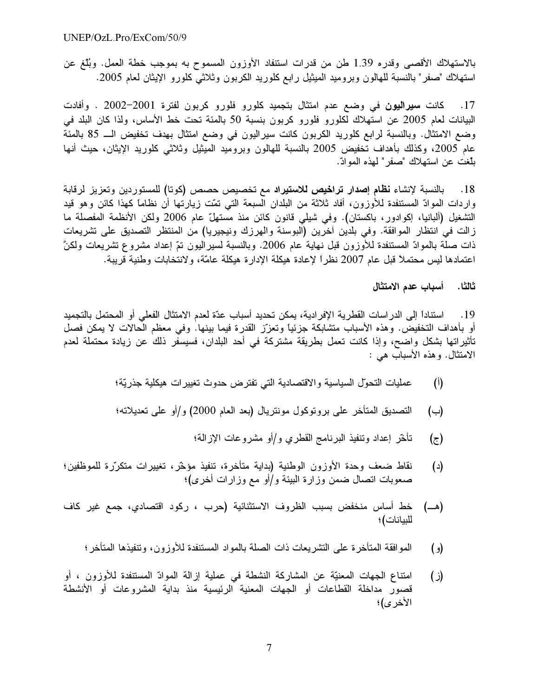بالاستهلاك الأقصبي وقدره 1.39 طن من قدرات استنفاد الأوزون المسموح به بموجب خطة العمل. وبُلّغ عن استهلاك "صفر" بالنسبة للهالون وبروميد الميثيل رابع كلوريد الكربون وثلاثى كلورو الإيثان لعام 2005.

انت **سيراليون** في وضع عدم امتثال بتجميد كلورو فلورو كربون لفترة 2001–2002 . وأفادت 9 .17 البيانات لعام 2005 عن استهلاك لكلورو فلورو كربون بنسبة 50 بالمئة تحت خط الأساس، ولذا كان البلد في وضع الامتثال. وبالنسبة لرابع كلوريد الكربون كانت سيراليون في وضع امتثال بهدف تخفيض الـــ 85 بالمئة عام 2005، وكذلك بأهداف تُخفيض 2005 بالنسبة للهالون وبروميد المُبِتْيل وثلاثـي كلوريد الإيثان، حيث أنـها بلّغت عن استهلاك "صفر" لمهذه الموادّ.

النسبة لإنشاء **نظام إصدار تراخيص للاستيراد** مع تخصيص حصص (كوتا) للمستوردين وتعزيز لرقابة .18 واردات الموادّ المستنفدة للأوزون، أفاد ثلاثة من البلدان السبعة التـي تمّت زيارتها أن نظامًا كـهذا كائن وهو قيد التشغيل (ألبانيا، إكوادور، باكستان). وفي شيلي قانون كائن منذ مستهلّ عام 2006 ولكن الأنظمة المفصلة ما زالت في انتظار الموافقة. وفي بلدين أخرين (البوسنة والهرزك ونيجيريا) من المنتظر التصديق على تشريعات ذات صلَّة بالموادّ المستنفدة للأوزون قبل نـهايـة عام 2006. وبالنسبـة لسيراليون تمّ إعداد مشروع تشريعات ولكنَّ اعتمادها ليس محتملاً قبل عام 2007 نظراً لإعادة هيكلة الإدارة هيكلة عامّة، ولانتخابات وطنية قريبة.

ثالثا. أسباب عدم الامتثال

اداً إلى الدر اسات القطرية الإفر ادية، يمكن تحديد أسباب عدّة لعدم الامتثال الفعلى أو المحتمل بالتجميد " .19 أو بأهداف التخفيض. وهذه الأسباب متشابكة جزئياً وتعزّز القدرة فيما بينها. وفي معظم الحالات لا يمكن فصل تأثيراتها بشكل واضح، وإذا كانت تعمل بطريقة مشتركة في أحد البلدان، فسيسفر ذلك عن زيادة محتملة لعدم الامتثال. وهذه الأسباب هي :

- ات التحول السياسية والاقتصادية التي تفترض حدوث تغييرات هيكلية جذريّة؛  $\hat{(\mathfrak{h})}$
- (ب) التصديق المتأخر على بروتوكول مونتريال (بعد العام 2000) و/أو على تعديلاته؛
	- (ج) تأخَّر إعداد وتنفيذ البرنامج القطري و/أو مشروعات الإزالة؛
- اط ضعف وحدة الأوزون الوطنية (بداية متأخرة، تنفيذ مؤخّر، تغييرات متكرّرة للموظفين؛  $\epsilon$ صعوبات اتصال ضمن وزارة البيئة و/أو مع وزارات أخرى)؛
- (هــ) خط أساس منخفض بسبب الظروف الاستثنائية (حرب ، ركود اقتصادي، جمع غير كاف للبيانات) ؛
	- وافقة المتأخرة على التشريعات ذات الصلة بالمواد المستنفدة للأوزون، وتنفيذها المتأخر ؛ (و) الم
- اع الجهات المعنيّة عن المشاركة النشطة في عملية إزالة الموادّ المستنفدة للأوزون ، أو () قصور مداخلة القطاعات أو الجهات المعنية الرئيسية منذ بداية المشروعات أو الأنشطة الأخر ي)؛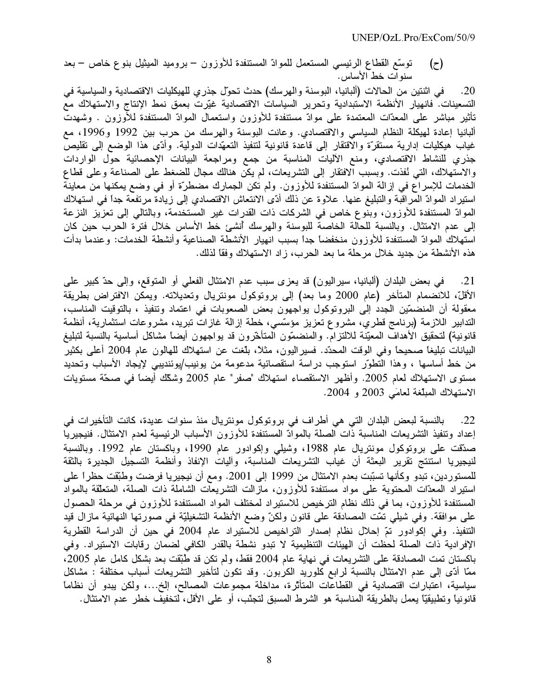توسُّع القطاع الرئيسي المستعمل للموادّ المستنفدة للأوزون – بروميد الميثيل بنوع خاص – بعد  $(\tau)$ سنوات خط الأساس.

20. في اثنتين من الحالات (ألبانيا، البوسنة والهرسك) حدث تحول جذري للهيكليات الاقتصادية والسياسية في التسعينات. فانهيار الأنظمة الاستبدادية وتحرير السياسات الاقتصادية غيّرت بعمق نمط الإنتاج والاستهلاك مع تأثير مباشر على المعدّات المعتمدة على موادّ مستنفدة للأوزون واستعمال الموادّ المستنفدة للأوزون . وشهدت ألبانيا إعادة لهيكلة النظام السياسي والاقتصادي. وعانت البوسنة والهرسك من حرب بين 1992 و1996، مع غياب هيكليات إدارية مستقرّة والاقتقار إلى قاعدة قانونية لتنفيذ التعهّدات الدولية. وأدّى هذا الوضع إلى تقليص جذري للنشاط الاقتصادي، ومنع الآليات المناسبة من جمع ومراجعة البيانات الإحصائية حول الواردات والاستهلاك، التي نُفذت. وبسبب الافتقار إلى التشريعات، لم يكن هنالك مجال للضغط على الصناعة وعلى قطاع الْخدمات للإسراع في إزالة الموادّ المستنفدة للأوزون. ولم تكن الجمارك مضطرّة أو في وضع يمكنها من معاينة استيراد الموادّ المراقبة والتبليغ عنها. علاوة عن ذلك أدّى الانتعاش الاقتصادي إلى زيادة مرتفعة جداً في استهلاك الموادّ المستنفدة للأوزون، وبنوع خاص في الشركات ذات القدرات غير المستخدمة، وبالتالي إلى تعزيز النزعة إلى عدم الامتثال. وبالنسبة للحالة الخاصة للبوسنة والهرسك أنشئ خط الأساس خلال فترة الحرب حين كان استهلاك الموادّ المستنفدة للأوزون منخفضاً جداً بسبب انهيار الأنشطة الصناعية وأنشطة الخدمات: وعندما بدأت هذه الأنشطة من جديد خلال مرحلة ما بعد الحرب، زاد الاستهلاك وفقاً لذلك.

21. في بعض البلدان (ألبانيا، سيراليون) قد يعزى سبب عدم الامتثال الفعلي أو المتوقع، وإلى حدّ كبير على الأقلَّ، للانضمام المتأخر (عام 2000 وما بعد) إلى برونوكول مونتريال وتعديلاته. ويمكن الافتراض بطريقة معقولة أن المنضمّين الجدد إلى البروتوكول يواجهون بعض الصعوبات في اعتماد وتنفيذ ، بالتوقيت المناسب، الندابير اللازمة (برنامج قطري، مشروع تعزيز مؤسَّسي، خطة إزالة غازات تبريد، مشروعات استثمارية، أنظمة قانونية) لتحقيق الأهداف المعيّنة للالتزام. والمنضمّون المتأخّرون قد يواجهون أيضاً مشاكل أساسية بالنسبة لتبليغ البيانات تبليغًا صـحيحًا وفـي الوقت المـحدّد. فسيراليون، مثلًا، بلّغت عن استهلاك للـهالون عام 2004 أعلمي بكثير من خط أساسها ، وهذا التطوّر استوجب دراسة استقصائية مدعومة من يونيب/يوئنديبي لإيجاد الأسباب وتحديد مستوى الاستهلاك لعام 2005. وأظهر الاستقصاء استهلاك "صفر" عام 2005 وشكّك أيضاً في صحّة مستويات الاستهلاك المبلغة لعامَى 2003 و 2004.

بالنسبة لبعض البلدان التي هي أطراف في بروتوكول مونتريال منذ سنوات عديدة، كانت التأخيرات في  $.22$ إعداد ونتفيذ التشريعات المناسبة ذات الصلة بالموادّ المستنفدة للأوزون الأسباب الرئيسية لعدم الامتثال. فنيجيريا صدَّقت على بروتوكول مونتريال عام 1988، وشيلي وإكوادور عام 1990، وباكستان عام 1992. وبالنسبة لنيجيريا استنتج تقرير البعثة أن غياب التشريعات المناسبة، وأليات الإنفاذ وأنظمة التسجيل الجديرة بالثقة للمستوردين، تبدو وكأنها تسبَّبت بعدم الامتثال من 1999 إلى 2001. ومع أن نيجيريا فرضت وطبَّقت حظراً على استيراد المعدّات المحتوية على مواد مستنفدة للأوزون، مازالت التشريعات الشاملة ذات الصلة، المتعلّقة بالمواد المستنفدة للأوزون، بما في ذلك نظام الترخيص للاستيراد لمختلف المواد المستنفدة للأوزون في مرحلة الحصول على موافقة. وفي شيلي تمّت المصادقة على قانون ولكنّ وضع الأنظمة التشغيليّة في صورتها النهائية مازال قيد التنفيذ. وفي إكوادور تمّ إحلال نظام إصدار التراخيص للاستيراد عام 2004 في حين أن الدراسة القطرية الإفرادية ذات الصلة لحظت أن الهيئات التنظيمية لا تبدو نشطة بالقدر الكافي لضمان رقابات الاستيراد. وفي باكستان تمت المصادقة على التشريعات في نهاية عام 2004 فقط، ولم تكن قد طُبِّقت بعد بشكل كامل عام 2005، ممّا أدّى إلى عدم الامتثال بالنسبة لرابع كلوريد الكربون. وقد تكون لتأخير التشريعات أسباب مختلفة : مشاكل سياسية، اعتبارات اقتصادية في القطاعات المتأثِّرة، مداخلة مجموعات المصالح، إلخ...، ولكن يبدو أن نظاماً قانونيا وتطبيقيًّا يعمل بالطريقة المناسبة هو الشرط المسبق لتجنَّب، أو على الأقل، لتخفيف خطر عدم الامتثال.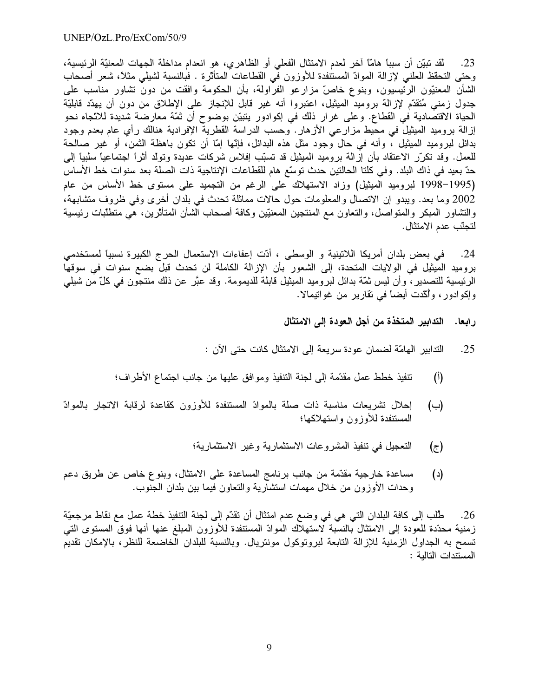23. لقد تبيّن أن سبباً هامّاً آخر لعدم الامتثال الفعلي أو الظاهري، هو انعدام مداخلة الجهات المعنيّة الرئيسية، وحتى التحقظ العلني لإزالة الموادّ المستنفدة للأوزون في القطاعات المتأثَّرة . فبالنسبة لشيلبي مثلاً، شعر أصحاب الشأن المعنيّون الرئيسيون، وبنوع خاصّ مزارعو الفرّاولة، بأن الحكومة وافقت من دونٌ تشاور مناسب على جدول زمني مُتقدّم لإزالة بروميد الميثيل، اعتبروا أنه غير قابل للإنجاز على الإطلاق من دون أن يهدّد قابليّة الحياة الاقتصادية في القطاع. وعلى غرار ذلك في إكوادور يتبيّن بوضوح أن ثمّة معارضة شديدة للاتّجاه نحو إزالة بروميد الميثيل في محيط مزارعي الأزهار . وحسب الدراسة القطرية الإفرادية هنالك رأى عام بعدم وجود بدائل لبروميد الميثيل ، وأنه في حال وجود مثل هذه البدائل، فإنّها إمّا أن نكون باهظة الثمن، أو غير صالحة للعمل. وقد تكرَّر الاعتقاد بأن إزالة بروميد الميثيل قد تسبَّب إفلاس شركات عديدة وتولَّد أثراً اجتماعياً سلبياً إلى حدّ بعيد في ذاك البلد. وفي كلتا الحالتين حدث توسّع هام للقطاعات الإنتاجية ذات الصلة بعد سنوات خط الأساس (1995–1998 لبروميد الميثيل) وزاد الاستهلاك على الرغم من التجميد على مستوى خط الأساس من عام 2002 وما بعد. ويبدو إن الاتصال والمعلومات حول حالات مماثلة تحدث في بلدان أخرى وفي ظروف متشابهة، والتشاور المبكر والمتواصل، والنعاون مع المنتجين المعنيّين وكافة أصحاب الشأن المتأثّرين، هي منطّلبات رئيسية لتجنّب عدم الامتثال.

في بعض بلدان أمريكا اللاتينية و الوسطى ، أدّت إعفاءات الاستعمال الحرج الكبيرة نسبياً لمستخدمي  $.24$ بروميد الميثيل في الولايات المتحدة، إلى الشعور بأن الإزالة الكاملة لن تحدث قبل بضع سنوات في سوقها الرئيسية للتصدير ، وأن ليس ثمّة بدائل لبروميد الميثيل قابلة للديمومة. وقد عبَّر عن ذلك منتجون في كلّ من شيلبي وإكوادور ، وأكَّدت أيضاً في تقارير من غواتيمالا.

رابعا. التدابير المتخذة من أجل العودة إلى الامتثال

- التدابير الهامّة لضمان عودة سريعة إلى الامتثال كانت حتى الآن :  $.25$
- تنفيذ خطط عمل مقدَّمة إلى لجنة التنفيذ وموافق عليها من جانب اجتماع الأطراف؛  $(\mathfrak{h})$
- إحلال تشريعات مناسبة ذات صلة بالموادّ المستنفدة للأوزون كقاعدة لرقابة الاتجار بالموادّ  $(\rightarrow)$ المستنفدة للأوزون واستهلاكها؛
	- التعجيل في تنفيذ المشروعات الاستثمارية وغير الاستثمارية؛  $(\tau)$
- مساعدة خارجية مقدّمة من جانب برنامج المساعدة على الامتثال، وبنوع خاص عن طريق دعم  $(\iota)$ وحدات الأوزون من خلال مهمات استشارية والتعاون فيما بين بلدان الجنوب.

طُلب إلى كافة البلدان التي هي في وضع عدم امتثال أن تقدّم إلى لجنة التنفيذ خطة عمل مع نقاط مرجعيّة .26 زمنية محدّدة للعودة إلى الامتثال بالنسبة لاستهلاك الموادّ المستنفدة للأوزون المبلغ عنها أنها فوق المستوى التبي تسمح به الجداول الزمنية للإزالة التابعة لبروتوكول مونتريال. وبالنسبة للبلدان الخاضعة للنظر، بالإمكان تقديم المستندات التالية :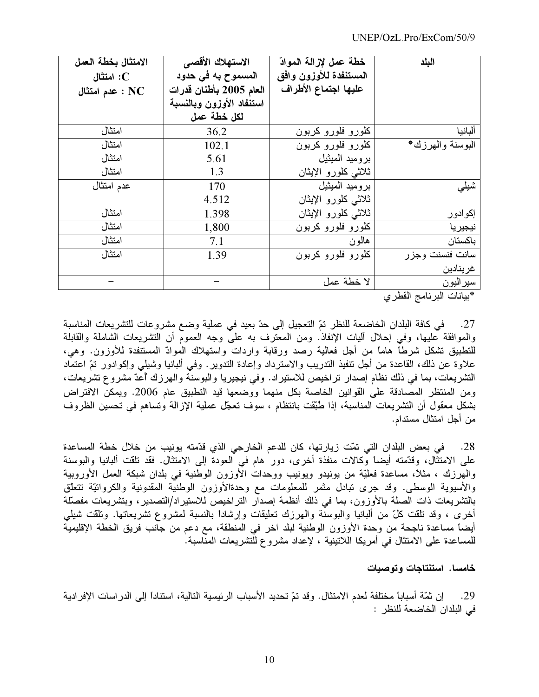| الامتثال بخطة العمل     | الاستهلاك الأقصى         | خطة عمل لإزالة الموادّ | البلد            |
|-------------------------|--------------------------|------------------------|------------------|
| استثال $\mathbf C$      | المسموح به في حدود       | المستنفدة للأوزون وافق |                  |
| $\cdot$ عدم امتثال : NC | العام 2005 بأطنان قدرات  | عليها اجتماع الأطراف   |                  |
|                         | استنفاد الأوزون وبالنسبة |                        |                  |
|                         | لكل خطة عمل              |                        |                  |
| امتثال                  | 36.2                     | كلورو فلورو كربون      | ألبانيا          |
| امتثال                  | 102.1                    | كلورو فلورو كربون      | البوسنة والهرزك* |
| امتثال                  | 5.61                     | بروميد الميثيل         |                  |
| امتثال                  | 1.3                      | ثلاثى كلورو الإيثان    |                  |
| عدم امتثال              | 170                      | بروميد الميثيل         | شیلی             |
|                         | 4.512                    | ثلاثى كلورو الإيثان    |                  |
| امتثال                  | 1.398                    | ثلاثى كلورو الإيثان    | إكوادور          |
| امتثال                  | 1,800                    | كلورو فلورو كربون      | نيجيريا          |
| امتثال                  | 7.1                      | هالون                  | باكستان          |
| امتثال                  | 1.39                     | كلورو فلورو كربون      | سانت فنسنت وجزر  |
|                         |                          |                        | غرينادين         |
|                         |                          | لا خطة عمل             | سير اليون        |

\*بيانات البرنامج القطري

في كافة البلدان الخاضعة للنظر تمّ التعجيل إلى حدّ بعيد في عملية وضع مشروعات للتشريعات المناسبة  $.27$ والموافقة عليها، وفي إحلال أليات الإنفاذ. ومن المعترف به على وجه العموم أن التشريعات الشاملة والقابلة للتطبيق تشكل شرطًا هامًا من أجل فعالية رصد ورقابة واردات واستهلاك الموادّ المستنفدة للأوزون. وهي، علاوة عن ذلك، القاعدة من أجل تنفيذ التدريب والاسترداد وإعادة التدوير . وفي ألبانيا وشيلي وإكوادور تمّ اعتماد التشريعات، بما في ذلك نظام إصدار تراخيص للاستيراد. وفي نيجيريا والبوسنة والهرزك أعدّ مشروع تشريعات، ومن المنتظر المصادقة على القوانين الخاصة بكل منهما ووضعها قيد التطبيق عام 2006. ويمكن الافتراض بشكل معقول أن التشريعات المناسبة، إذا طُبَّقت بانتظام ، سوف تعجَّل عملية الإزالة وتساهم فـي تحسين الظروف من أجل امتثال مستدام.

في بعض البلدان التي تمّت زيارتها، كان للدعم الخارجي الذي قدّمته يونيب من خلال خطة المساعدة  $.28$ على الامتثال، وقدَّمته أيضاً وكالات منفذة أخرى، دور هام في العودة إلى الامتثال. فقد نلقت ألبانيا والبوسنة والهرزك ، مثلاً، مساعدة فعليّة من يونيدو ويونيب ووحدات الأوزون الوطنية في بلدان شبكة العمل الأوروبية والأسيوية الوسطى. وقد جرى تبادل مثمر للمعلومات مع وحدةالأوزون الوطنية المقدونية والكروانيّة تتعلّق بالتشريعات ذات الصلة بالأوزون، بما في ذلك أنظمة إصدار التراخيص للاستيراد/التصدير، وبتشريعات مفصلة أخرى ، وقد نلقت كلّ من ألبانيا والبوسنة والهرزك تعليقات وإرشاداً بالنسبة لمشروع نشريعاتها. ونلقت شيلي أيضاً مساعدة ناجحة من وحدة الأوزون الوطنية لبلد أخر في المنطقة، مع دعم من جانب فريق الخطة الإقليمية للمساعدة على الامتثال في أمريكا اللاتينية ، لإعداد مشروع للتشريعات المناسبة.

خامسا. استنتاجات وتوصيات

إن ثمّة أسباباً مختلفة لعدم الامتثال. وقد تمّ تحديد الأسباب الرئيسية التالية، استناداً إلى الدر اسات الإفر ادية .29 في البلدان الخاضعة للنظر :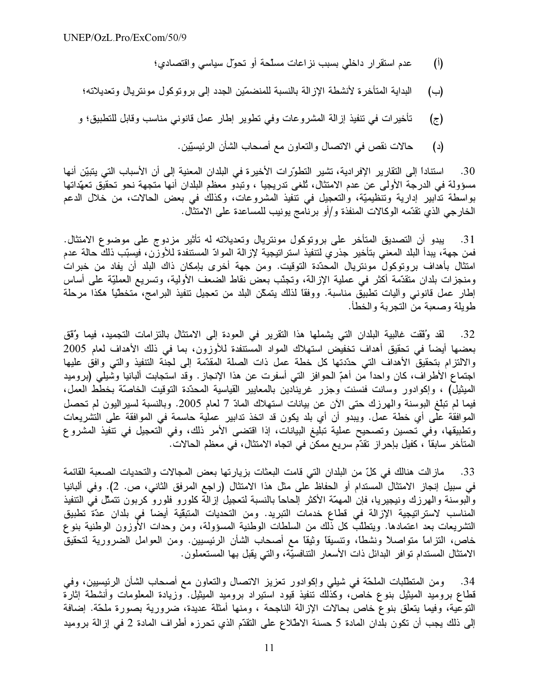- عدم استقرار داخلي بسبب نزاعات مسلّحة أو تحوّل سياسي واقتصادي؛  $(\mathfrak{h})$
- البداية المتأخرة لأنشطة الإزالة بالنسبة للمنضمّين الجدد إلى بروتوكول مونتريال وتعديلاته؛  $(\rightarrow)$
- تأخيرات في تنفيذ إزالة المشروعات وفي تطوير إطار عمل قانوني مناسب وقابل للتطبيق؛ و (ج)
	- حالات نقص في الاتصال والتعاون مع أصحاب الشأن الرئيسيّين.  $(\iota)$

استناداً إلى التقارير الإفرادية، تشير التطوِّرات الأخيرة في البلدان المعنية إلى أن الأسباب التي يتبيّن أنها .30 مسؤولة في الدرجة الأولى عن عدم الامتثال، تُلغى تدريجياً ، وتبدو معظم البلدان أنها متجهة نحو تحقيق تعهّداتها بواسطة ندابير إدارية وتنظيميَّة، والتعجيل في نتفيذ المشروعات، وكذلك في بعض الحالات، من خلال الدعم الخارجي الذي تقدَّمه الوكالات المنفذة و/أو برنامج يونيب للمساعدة على الامتثال.

31. يبدو أن التصديق المتأخر على بروتوكول مونتريال وتعديلاته له تأثير مزدوج على موضوع الامتثال. فمن جهة، يبدأ البلد المعنى بتأخير جذر ي لتنفيذ استر اتيجية لإز الة الموادّ المستنفدة للأوزن، فيسبّب ذلك حالة عدم امتثال بأهداف بروتوكول مونتريال المحدّدة التوقيت. ومن جهة أخرى بإمكان ذاك البلد أن يفاد من خبرات ومنجزات بلدان متقدَّمة أكثر في عملية الإزالة، وتجنَّب بعض نقاط الضعف الأولية، وتسريع العمليَّة على أساس إطار عمل قانوني وأليات تطبيق مناسبة. ووفقًا لذلك يتمكَّن البلد من تعجيل تنفيذ البرامج، متخطَّيًا هكذا مرحلة طويلة وصعبة من التجربة والخطأ.

32. لقد وُقَّفت غالبية البلدان التي يشملها هذا التقرير في العودة إلى الامتثال بالتزامات التجميد، فيما وُقّق بعضها أيضاً في تحقيق أهداف تخفيض استهلاك المواد المستنفدة للأوزون، بما في ذلك الأهداف لعام 2005 والالتزام بتحقيق الأهداف التي حدّدتها كل خطة عمل ذات الصلة المقدّمة إلى لجنة التنفيذ والتي وافق عليها اجتماع الأطراف، كان واحدًا من أهمّ الحوافز التي أسفرت عن هذا الإنجاز . وقد استجابت ألبانيا وشيلي (بروميد الميثيل) ، وإكوادور وسانت فنسنت وجزر غرينادين بالمعايير القياسية المحدّدة التوقيت الخاصّة بخطط العمل، فيما لم تبلُّغ البوسنة والهرزك حتى الآن عن بيانات استهلاك المادّ 7 لعام 2005. وبالنسبة لسيراليون لم تحصل الموافقة على أي خطة عمل. ويبدو أن أي بلد يكون قد اتخذ تدابير عملية حاسمة في الموافقة على التشريعات وتطبيقها، وفي تحسين وتصحيح عملية تبليغ البيانات، إذا اقتضى الأمر ذلك، وفي التعجيل في تنفيذ المشروع المتأخر سابقاً ، كفيل بإحراز تقدّم سريع ممكن في اتجاه الامتثال، في معظم الحالات.

مازالت هنالك في كلِّ من البلدان التي قامت البعثات بزيارتها بعض المجالات والتحديات الصعبة القائمة .33 في سبيل إنجاز الامتثال المستدام أو الحفاظ على مثل هذا الامتثال (راجع المرفق الثاني، ص. 2). وفي ألبانيا والبوسنة والهرزك ونيجيريا، فإن المهمّة الأكثر الحاحاً بالنسبة لتعجيل إزالة كلورو فلورو كربون نتمثّل في التنفيذ المناسب لاستراتيجية الإزالة في قطاع خدمات التبريد. ومن التحديات المتبقّية أيضاً في بلدان عدّة تطبيق التشريعات بعد اعتمادها. ويتطلُّب كلُّ ذلك من السلطات الوطنية المسؤولة، ومن وحدات الأوزون الوطنية بنوع خاص، النزاما متواصلاً ونشطاً، وتنسيقاً وثيقاً مع أصحاب الشأن الرئيسيين. ومن العوامل الضرورية لتحقيق الامتثال المستدام توافر البدائل ذات الأسعار التنافسيَّة، والتي يقبل بها المستعملون.

ومن المنطَّلبات الملحَّة في شيلي وإكوادور نعزيز الاتصال والنعاون مع أصحاب الشأن الرئيسيين، وفي .34 قطاع بروميد المميثيل بنوع خاص، وكذلك تنفيذ قيود استيراد بروميد المميثيل. وزيادة المعلومات وأنشطة إثارة التوعية، وفيما يتعلَّق بنوع خاص بحالات الإزالة الناجحة ، ومنها أمثلة عديدة، ضرورية بصورة ملحَّة. إضافة إلى ذلك يجب أن تكون بلدان المادة 5 حسنة الاطلاع على التقدّم الذي تحرزه أطراف المادة 2 في إزالة بروميد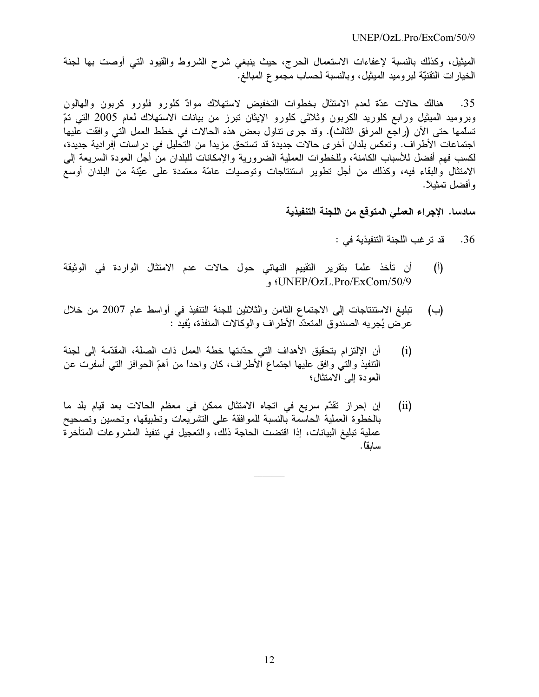$UNEP/OzL$  Pro/ExCom/50/9

الميثيل، وكذلك بالنسبة لإعفاءات الاستعمال الحرج، حيث ينبغي شرح الشروط والقيود التـي أوصت بها لـجنة الْخَيَارَاتَ الْتَقْنَيَّةُ لَبَرُومِيدِ الْمَيْثَيْلُ، وبِالنَّسْبَةُ لَحْسَابٍ مَجْمُوعِ الْمُبَالْغ.

هنالك حالات عدّة لمعدم الامتثال بخطوات التخفيض لاستهلاك موادّ كلورو فلورو كربون والمهالون .35 وبروميد الميثيل ورابع كلوريد الكربون وثلاثي كلورو الإيثان نبرز من بيانات الاستهلاك لعام 2005 التي تمّ تسلَّمها حتى الآن (راجع المرفق الثالث). وقد جرى تناول بعض هذه الحالات في خطط العمل التي وافقت عليها اجتماعات الأطراف. وتعكس بلدان أخرى حالات جديدة قد تستحق مزيداً من التحليل في دراسات آفرادية جديدة، لكسب فهم أفضل للأسباب الكامنة، وللخطوات العملية الضرورية والإمكانات للبلدان من أجل العودة السريعة إلى الامتثال والبقاء فيه، وكذلك من أجل تطوير استنتاجات وتوصيات عامّة معتمدة على عيّنة من البلدان أوسع و أفضل تمثبلاً.

سادسا. الإجراء العملي المتوقع من اللجنة التنفيذية

- قد ترغب اللجنة التنفيذية في : .36
- أن تأخذ علماً بتقرير التقييم النهائي حول حالات عدم الامتثال الواردة في الوثيقة  $(\mathfrak{h})$ UNEP/OzL.Pro/ExCom/50/9؛ و
- تبليغ الاستنتاجات إلى الاجتماع الثامن والثلاثين للجنة التنفيذ في أواسط عام 2007 من خلال (ب) عرض يُجريه الصندوق المتعدّد الأطراف والوكالات المنفذة، يُفيد :
- أن الإلتزام بتحقيق الأهداف التي حدّدتها خطة العمل ذات الصلة، المقدّمة إلى لجنة  $(i)$ النّنفيذ والتي وافق عليها اجتماع الأطراف، كان واحدًا من أهمّ الحوافز التي أسفرت عن العودة إلى الامتثال؛
- إن إحراز نقدّم سريع في اتجاه الامتثال ممكن في معظم الحالات بعد قيام بلد ما  $(ii)$ بالخطوة العملية الحاسمة بالنسبة للموافقة على التشريعات وتطبيقها، وتحسين وتصحيح عملية تبليغ البيانات، إذا اقتضت الحاجة ذلك، والتعجيل في تنفيذ المشروعات المتأخرة ساىقاً.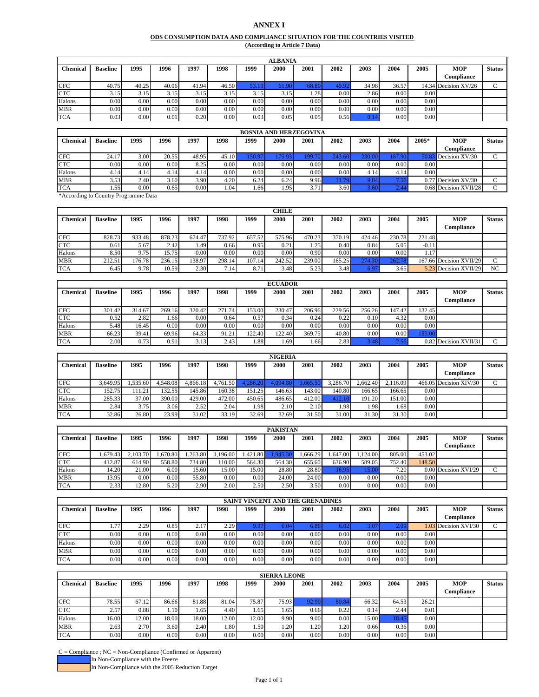#### **ANNEX I**

#### **ODS CONSUMPTION DATA AND COMPLIANCE SITUATION FOR THE COUNTRIES VISITED (According to Article 7 Data)**

|            | <b>ALBANIA</b>  |       |       |       |       |          |       |       |       |       |       |      |                      |               |
|------------|-----------------|-------|-------|-------|-------|----------|-------|-------|-------|-------|-------|------|----------------------|---------------|
| Chemical   | <b>Baseline</b> | 1995  | 1996  | 1997  | 1998  | 1999     | 2000  | 2001  | 2002  | 2003  | 2004  | 2005 | <b>MOP</b>           | <b>Status</b> |
|            |                 |       |       |       |       |          |       |       |       |       |       |      | Compliance           |               |
| <b>CFC</b> | 40.75           | 40.25 | 40.06 | 41.94 | 46.50 |          | 61.90 | 68.80 | 49.92 | 34.98 | 36.5' |      | 14.34 Decision XV/26 |               |
| <b>CTC</b> | 3.15            | 3.15  | 3.15  | 3.15  | 3.15  | 3.15     | 3.15  | 4.28  | 0.00  | 2.86  | 0.00  | 0.00 |                      |               |
| Halons     | 0.00            | 0.00  | 0.00  | 0.00  | 0.00  | 0.00     | 0.00  | 0.00  | 0.00  | 0.00  | 0.00  | 0.00 |                      |               |
| <b>MBR</b> | 0.00            | 0.00  | 0.00  | 0.00  | 0.00  | $0.00\,$ | 0.00  | 0.00  | 0.00  | 0.00  | 0.00  | 0.00 |                      |               |
| <b>TCA</b> | 0.03            | 0.00  | 0.01  | 0.20  | 0.00  | 0.03     | 0.05  | 0.05  | 0.56  | 0.1   | 0.00  | 0.00 |                      |               |

|                 | <b>BOSNIA AND HERZEGOVINA</b> |      |       |       |                   |          |       |      |      |                |       |       |                         |               |  |
|-----------------|-------------------------------|------|-------|-------|-------------------|----------|-------|------|------|----------------|-------|-------|-------------------------|---------------|--|
| <b>Chemical</b> | <b>Baseline</b>               | 1995 | 1996  | 1997  | 1998              | 1999     | 2000  | 2001 | 2002 | 2003           | 2004  | 2005* | <b>MOP</b>              | <b>Status</b> |  |
|                 |                               |      |       |       |                   |          |       |      |      |                |       |       | Compliance              |               |  |
| <b>CFC</b>      | 24.17                         | 3.00 | 20.55 | 48.95 | 45.10             | 150.97   | 75.93 | 199. | 243  | 230.00         | 87.90 | 50.83 | Decision XV/30          |               |  |
| <b>CTC</b>      | $0.00\,$                      | 0.00 | 0.00  | 8.25  | 0.00 <sub>1</sub> | 0.00     | 0.00  | 0.00 | 0.00 | 0.00           | 0.00  | 0.00  |                         |               |  |
| Halons          | 4.14                          | 4.14 | 4.14  | 4.14  | 0.00 <sub>1</sub> | 0.00     | 0.00  | 0.00 | 0.00 | 4.14           | 4.14  | 0.00  |                         |               |  |
| <b>MBR</b>      | 3.53                          | 2.40 | 3.60  | 3.90  | 4.20              | 6.24     | 6.24  | 9.96 | 79   | 9.84           |       |       | $0.77$ Decision XV/30   | $\sqrt{2}$    |  |
| <b>TCA</b>      | 1.551                         | 0.00 | 0.65  | 0.00  | 1.04              | ـ 661. ، | 1.95  | 3.71 | 3.60 | $5.60^{\circ}$ |       |       | $0.68$ Decision XVII/28 |               |  |

\*According to Country Programme Data

|                 |                 |        |        |        |        |        | <b>CHILE</b> |        |        |        |        |         |                          |               |
|-----------------|-----------------|--------|--------|--------|--------|--------|--------------|--------|--------|--------|--------|---------|--------------------------|---------------|
| <b>Chemical</b> | <b>Baseline</b> | 1995   | 1996   | 1997   | 1998   | 1999   | 2000         | 2001   | 2002   | 2003   | 2004   | 2005    | <b>MOP</b><br>Compliance | <b>Status</b> |
| <b>CFC</b>      | 828.73          | 933.48 | 878.23 | 674.47 | 737.92 | 657.52 | 575.96       | 470.23 | 370.19 | 424.46 | 230.78 | 221.48  |                          |               |
| <b>CTC</b>      | 0.61            | 5.67   | 2.42   | .491   | 0.66   | 0.95   | 0.21         | 1.25   | 0.40   | 0.84   | 5.05   | $-0.11$ |                          |               |
| Halons          | 8.50            | 9.75   | 15.75  | 0.00   | 0.00   | 0.00   | 0.00         | 0.90   | 0.00   | 0.00   | 0.00   | 1.17    |                          |               |
| <b>MBR</b>      | 212.51          | 176.78 | 236.15 | 138.97 | 298.14 | 107.14 | 242.52       | 239.00 | 165.25 | 274.30 | 262.7  |         | 167.66 Decision XVII/29  |               |
| <b>TCA</b>      | 6.45            | 9.78   | 10.59  | 2.30   | 7.14   | 8.71   | 3.48         | 5.23   | 3.48   | 6.97   | 3.65   |         | 5.23 Decision XVII/29    | NC            |

| <b>ECUADOR</b>  |                 |        |        |        |            |        |                   |        |        |        |        |        |                       |               |
|-----------------|-----------------|--------|--------|--------|------------|--------|-------------------|--------|--------|--------|--------|--------|-----------------------|---------------|
| <b>Chemical</b> | <b>Baseline</b> | 1995   | 1996   | 1997   | 1998       | 1999   | 2000              | 2001   | 2002   | 2003   | 2004   | 2005   | <b>MOP</b>            | <b>Status</b> |
|                 |                 |        |        |        |            |        |                   |        |        |        |        |        | Compliance            |               |
| <b>CFC</b>      | 301.42          | 314.67 | 269.16 | 320.42 | 271<br>.74 | 153.00 | 230.47            | 206.96 | 229.56 | 256.26 | 147.42 | 132.45 |                       |               |
| <b>CTC</b>      | 0.52            | 2.82   | . . 66 | 0.00   | 0.64       | 0.57   | 0.34              | 0.24   | 0.22   | 0.10   | 4.32   | 0.00   |                       |               |
| Halons          | 5.48            | 16.45  | 0.00   | 0.00   | 0.00       | 0.00   | 0.00 <sub>1</sub> | 0.00   | 0.00   | 0.00   | 0.00   | 0.00   |                       |               |
| <b>MBR</b>      | 66.23           | 39.41  | 69.96  | 64.33  | 91.21      | 122.40 | 122.40            | 369.75 | 40.80  | 0.00   | 0.00   | 53.00  |                       |               |
| <b>TCA</b>      | 2.00            | 0.73   | 0.91   | 3.13   | 2.43       | ا 88.، | . 69              | 0.66   | 2.83   | 3.48   |        |        | 0.82 Decision XVII/31 |               |

|                 | <b>NIGERIA</b>  |         |          |          |          |         |          |          |          |          |          |      |                        |               |
|-----------------|-----------------|---------|----------|----------|----------|---------|----------|----------|----------|----------|----------|------|------------------------|---------------|
| <b>Chemical</b> | <b>Baseline</b> | 1995    | 1996     | 1997     | 1998     | 1999    | 2000     | 2001     | 2002     | 2003     | 2004     | 2005 | <b>MOP</b>             | <b>Status</b> |
|                 |                 |         |          |          |          |         |          |          |          |          |          |      | Compliance             |               |
| <b>CFC</b>      | 3.649.95        | .535.60 | 4.548.08 | 4.866.18 | 4.761.50 | .286.20 | 4.094.80 | 3.665.50 | 3.286.70 | 2.662.40 | 2.116.09 |      | 466.05 Decision XIV/30 |               |
| <b>CTC</b>      | 152.75          | 111.21  | 132.55   | 145.86   | 160.38   | 151.25  | 146.63   | 143.00   | 140.80   | 166.65   | 166.65   | 0.00 |                        |               |
| Halons          | 285.33          | 37.00   | 390.00   | 429.00   | 472.00   | 450.65  | 486.65   | 412.00   | 412.1    | 191.20   | 151.00   | 0.00 |                        |               |
| <b>MBR</b>      | 2.84            | 3.75    | 3.06     | 2.52     | 2.04     | 1.98    | 2.10     | 2.10     | .98      | 1.98     | .681     | 0.00 |                        |               |
| <b>TCA</b>      | 32.86           | 26.80   | 23.99    | 31.02    | 33.19    | 32.69   | 32.69    | 31.50    | 31.00    | 31.30    | 31.30    | 0.00 |                        |               |

|                 | <b>PAKISTAN</b> |          |         |         |         |         |         |         |         |         |        |        |                      |               |
|-----------------|-----------------|----------|---------|---------|---------|---------|---------|---------|---------|---------|--------|--------|----------------------|---------------|
| <b>Chemical</b> | <b>Baseline</b> | 1995     | 1996    | 1997    | 1998    | 1999    | 2000    | 2001    | 2002    | 2003    | 2004   | 2005   | <b>MOP</b>           | <b>Status</b> |
|                 |                 |          |         |         |         |         |         |         |         |         |        |        | Compliance           |               |
| <b>CFC</b>      | 1,679.43        | 2.103.70 | .670.80 | .263.80 | .196.00 | .421.80 | .945.30 | .666.29 | .647.00 | .124.00 | 805.00 | 453.02 |                      |               |
| <b>CTC</b>      | 412.87          | 614.90   | 558.80  | 734.80  | 110.00  | 564.30  | 564.30  | 655.60  | 636.90  | 589.05  | 752.40 | 148.50 |                      |               |
| Halons          | 14.20           | 21.00    | 6.00    | 15.60   | 5.00    | 15.00   | 28.80   | 28.80   | 6.95    | 15.00   | 7.201  |        | 0.00 Decision XVI/29 |               |
| <b>MBR</b>      | 13.95           | 0.00     | 0.00    | 55.80   | 0.00    | 0.00    | 24.00   | 24.00   | 0.00    | 0.001   | 0.00   | 0.00   |                      |               |
| <b>TCA</b>      | 2.33            | 2.80     | 5.20    | 2.90    | 2.00    | 2.50    | 2.50    | 3.50    | 0.00    | 0.00    | 0.00   | 0.00   |                      |               |

|                 | <b>SAINT VINCENT AND THE GRENADINES</b> |      |      |      |      |      |      |      |      |               |      |      |                      |               |  |
|-----------------|-----------------------------------------|------|------|------|------|------|------|------|------|---------------|------|------|----------------------|---------------|--|
| <b>Chemical</b> | <b>Baseline</b>                         | 1995 | 1996 | 1997 | 1998 | 1999 | 2000 | 2001 | 2002 | 2003          | 2004 | 2005 | <b>MOP</b>           | <b>Status</b> |  |
|                 |                                         |      |      |      |      |      |      |      |      |               |      |      | Compliance           |               |  |
| <b>CFC</b>      |                                         | 2.29 | 0.85 | 2.17 | 2.29 | 9.97 | 6.04 | 6.86 | 6.02 | $3.0^{\circ}$ | 2.09 |      | 1.03 Decision XVI/30 |               |  |
| <b>CTC</b>      | 0.00                                    | 0.00 | 0.00 | 0.00 | 0.00 | 0.00 | 0.00 | 0.00 | 0.00 | 0.00          | 0.00 | 0.00 |                      |               |  |
| Halons          | 0.00                                    | 0.00 | 0.00 | 0.00 | 0.00 | 0.00 | 0.00 | 0.00 | 0.00 | 0.00          | 0.00 | 0.00 |                      |               |  |
| <b>MBR</b>      | 0.00                                    | 0.00 | 0.00 | 0.00 | 0.00 | 0.00 | 0.00 | 0.00 | 0.00 | 0.00          | 0.00 | 0.00 |                      |               |  |
| <b>TCA</b>      | 0.00                                    | 0.00 | 0.00 | 0.00 | 0.00 | 0.00 | 0.00 | 0.00 | 0.00 | 0.00          | 0.00 | 0.00 |                      |               |  |

|                 |                 |                |       |       |        |       | <b>SIERRA LEONE</b> |         |      |       |           |       |            |               |
|-----------------|-----------------|----------------|-------|-------|--------|-------|---------------------|---------|------|-------|-----------|-------|------------|---------------|
| <b>Chemical</b> | <b>Baseline</b> | 1995           | 1996  | 1997  | 1998   | 1999  | 2000                | 2001    | 2002 | 2003  | 2004      | 2005  | MOP        | <b>Status</b> |
|                 |                 |                |       |       |        |       |                     |         |      |       |           |       | Compliance |               |
| <b>CFC</b>      | 78.55           | 67.12          | 86.66 | 81.88 | 81.04  | 75.87 | 75.93               | 92.90   | 80.8 | 66.32 | 64.53     | 26.21 |            |               |
| <b>CTC</b>      | 2.57            | 0.88           | 4.10  | . .65 | 4.40   | 1.65  | 1.65                | 0.66    | 0.22 | 0.14  | 2.44      | 0.01  |            |               |
| Halons          | 16.00           | 2.00           | 18.00 | 18.00 | 12.00  | 12.00 | 9.90                | 9.00    | 0.00 | 15.00 | $8.4^{4}$ | 0.00  |            |               |
| <b>MBR</b>      | 2.63            | 2.70           | 3.60  | 2.40  | ا 80.، | 1.50  | 1.20                | . . 201 | .20  | 0.66  | 0.36      | 0.00  |            |               |
| <b>TCA</b>      | 0.00            | $0.00\text{ }$ | 0.00  | 0.00  | 0.00   | 0.00  | 0.00                | 0.00    | 0.00 | 0.00  | $0.00\,$  | 0.00  |            |               |

 $C =$  Compliance ;  $NC =$  Non-Compliance (Confirmed or Apparent) In Non-Compliance with the Freeze In Non-Compliance with the 2005 Reduction Target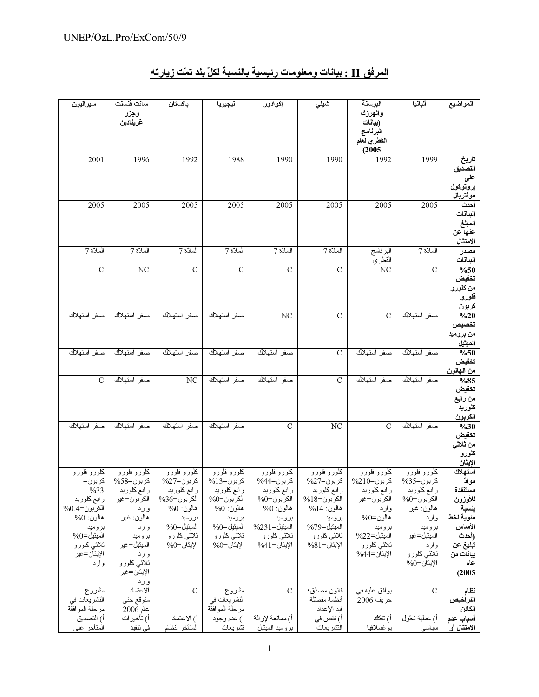| سيراليون                       | سانت فنسنت                  | باكستان                   | نيجيريا                        | إكوادور                   | شيلى                        | البوسنة                            | ألبانيا                    | المواضيع                 |
|--------------------------------|-----------------------------|---------------------------|--------------------------------|---------------------------|-----------------------------|------------------------------------|----------------------------|--------------------------|
|                                | وجزر                        |                           |                                |                           |                             | والهرزك                            |                            |                          |
|                                | غرينادين                    |                           |                                |                           |                             | (بيانات<br>البرنامج                |                            |                          |
|                                |                             |                           |                                |                           |                             | القطري لعام                        |                            |                          |
|                                |                             |                           |                                |                           |                             | (2005)                             |                            |                          |
| 2001                           | 1996                        | 1992                      | 1988                           | 1990                      | 1990                        | 1992                               | 1999                       | تاريخ                    |
|                                |                             |                           |                                |                           |                             |                                    |                            | التصديق                  |
|                                |                             |                           |                                |                           |                             |                                    |                            | على                      |
|                                |                             |                           |                                |                           |                             |                                    |                            | بروتوكول<br>مونتريال     |
| 2005                           | 2005                        | 2005                      | 2005                           | 2005                      | 2005                        | 2005                               | 2005                       | أحدث                     |
|                                |                             |                           |                                |                           |                             |                                    |                            | البيانات                 |
|                                |                             |                           |                                |                           |                             |                                    |                            | المبلغ                   |
|                                |                             |                           |                                |                           |                             |                                    |                            | عنها عن                  |
|                                |                             | المادّة 7                 |                                |                           |                             |                                    | المادّة 7                  | الامتثال                 |
| المادّة 7                      | المادّة 7                   |                           | المادّة 7                      | المادّة 7                 | المادّة 7                   | البرنامج<br>القطري                 |                            | مصدر<br>البيانات         |
| $\mathcal{C}$                  | NC                          | $\mathbf C$               | $\mathcal{C}$                  | $\mathbf C$               | $\mathcal{C}$               | $\overline{\text{NC}}$             | $\mathcal{C}$              | $\frac{0}{650}$          |
|                                |                             |                           |                                |                           |                             |                                    |                            | تخفيض                    |
|                                |                             |                           |                                |                           |                             |                                    |                            | من كلورو                 |
|                                |                             |                           |                                |                           |                             |                                    |                            | فلورو                    |
| صفر استهلاك                    | صفر استهلاك                 | صفر استهلاك               | صفر استهلاك                    | $\overline{\text{NC}}$    | $\mathcal{C}$               | $\mathcal{C}$                      | صفر استهلاك                | كربون<br>$\frac{0}{20}$  |
|                                |                             |                           |                                |                           |                             |                                    |                            | تخصيص                    |
|                                |                             |                           |                                |                           |                             |                                    |                            | من بروميد                |
|                                |                             |                           |                                |                           |                             |                                    |                            | الميثيل                  |
| صفر استهلاك                    | صفر استهلاك                 | صفر استهلاك               | صفر استهلاك                    | صفر استهلاك               | $\mathbf C$                 | صفر استهلاك                        | صفر استهلاك                | $\frac{0}{650}$          |
|                                |                             |                           |                                |                           |                             |                                    |                            | تخفيض                    |
| $\mathcal{C}$                  | صفر استهلاك                 | NC                        | صفر استهلاك                    | صفر استهلاك               | $\mathcal{C}$               | صفر استهلاك                        | صفر استهلاك                | من الـهالون<br>%85       |
|                                |                             |                           |                                |                           |                             |                                    |                            | تخفيض                    |
|                                |                             |                           |                                |                           |                             |                                    |                            | من رابع                  |
|                                |                             |                           |                                |                           |                             |                                    |                            | كلوريد                   |
|                                |                             |                           |                                |                           |                             |                                    |                            | الكربون                  |
| صفر استهلاك                    | صفر استهلاك                 | صفر استهلاك               | صفر استهلاك                    | $\mathbf C$               | NC                          | $\mathcal{C}$                      | صفر استهلاك                | $\frac{0}{630}$<br>تخفيض |
|                                |                             |                           |                                |                           |                             |                                    |                            | من ثلاث <i>ي</i>         |
|                                |                             |                           |                                |                           |                             |                                    |                            | كلورو                    |
|                                |                             |                           |                                |                           |                             |                                    |                            | الإيثان                  |
| كلورو فلورو                    | كملورو فلورو                | كلورو فلورو               | كلورو فلورو                    | كلورو فلورو               | كلورو فلورو                 | كلورو فلورو                        | كلورو فلورو                | استهلاك                  |
| کربون=<br>%33                  | كربون=58%                   | كربون=27%<br>ر ابع کلورید | كربون=13%<br>ر ابع کلورید      | كربون=44%<br>ر ابع کلورید | کربون=27%<br>ر ابع کلورید   | کربون=210%                         | كربون=35%                  | موادّ<br>مستنفدة         |
| ر ابع كلوريد                   | ر ابع کلورید<br>الكربون=غير | الكربون=36%               | الكربون=0%                     | الكربون=0%                | الكربون=18%                 | ر ابع کلورید<br>الكربون=غير        | ر ابع کلورید<br>الكربون=0% | للأوزون                  |
| $\%0.4$ الكربون=4              | وارد                        | $\%0$ هالون               | $\%0$ هالون                    | $\%0$ هالون               | $%14$ هالون: 14             | وارد                               | هالون: غير                 | بنسبة                    |
| $\%0$ هالون:                   | هالون فير                   | بروميد                    | بروميد                         | بروميد                    | بروميد                      | $\%0$ هالون $=0$                   | وارد                       | منوية لخط                |
| بروميد                         | وارد                        | $\%0=0$ الميثيل           | $\%0 = \frac{1}{2}$ الميثيل    | $\%231 =$ الميثيل         | الميثيل=79%                 | بروميد                             | بروميد                     | الأساس                   |
| الميثيل=0%                     | بروميد                      | ثلاثي كلورو<br>الإيثان=0% | ثلاث <i>ي</i> كلورو            | ثلاثي كلورو               | ثلاثي كلورو                 | المبثيل=22%                        | الميثيل=غير                | (أحدث                    |
| ثلاثي كلورو<br>الإيثان=غير     | الميثيل=غير<br>وارد         |                           | الإيثان=0%                     | الإيثان=41%               | الإيثان=81%                 | ثلاث <i>ي</i> كلورو<br>الإيثان=44% | وارد<br>ثلاثي كلورو        | تبليغ عن<br>بيانات من    |
| وارد                           | ثلاثي كلورو                 |                           |                                |                           |                             |                                    | الإيثان=0%                 | عام                      |
|                                | الإيثان=غير                 |                           |                                |                           |                             |                                    |                            | (2005                    |
|                                | وارد                        |                           |                                |                           |                             |                                    |                            |                          |
| مشروع                          | الاعتماد                    | $\mathcal{C}$             | مشروع                          | $\mathbf C$               | قانون مصدّق؛                | بوافق عليه في                      | $\mathbf C$                | نظام                     |
| التشريعات في<br>مرحلة الموافقة | منوقغ حنى                   |                           | التشريعات في<br>مرحلة الموافقة |                           | أنظمة مفصللة<br>فيد الإعداد | خريف 2006                          |                            | التراخيص<br>الكائن       |
| أ) النصديق                     | $2006$ عام<br>اً) نأخير ات  | أ) الاعتماد               | أ) عدم وجود                    | أ) ممانعة لإزالة          | اً) نقص في                  | أ) تفكك                            | أ) عملية نحّول             | أسياب عدم                |
| المنأخر على                    | في نتفيذ                    | المتأخر لنظام             | تشريعات                        | بروميد الميثيل            | التشريعات                   | بوغسلافيا                          | سياسي                      | الامتثال أو              |

# المرفق II : بيانات ومعلومات رئيسية بالنسبة لكلّ بلد تمّت زيارته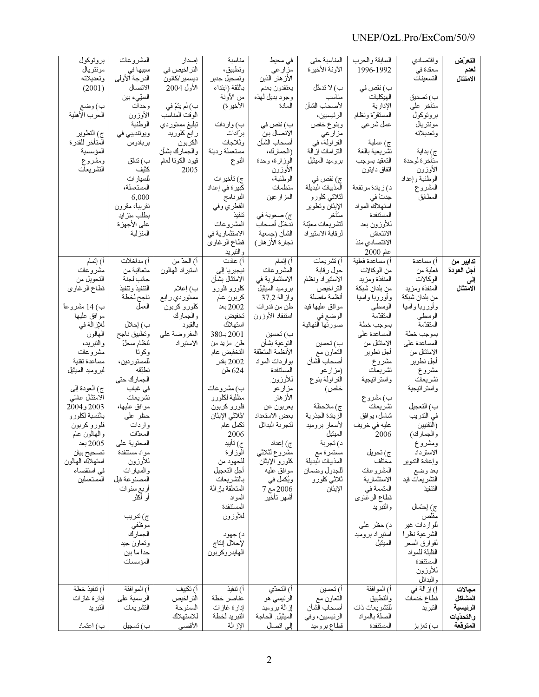### UNEP/OzL.Pro/ExCom/50/9

| بروتوكول<br>مونتريال<br>ونعديلانه<br>(2001)<br>ب) وضع<br>الحرب الأهلية<br>ج) النطوير<br>المتأخر للقدرة<br>المؤسسية<br>ومشروع<br>التشريعات                                                                                                                                                                                                              | المشروعات<br>سببها في<br>الدرجة الأولى<br>الاتصال<br>السبّىء بين<br>وحدات<br>الأوزون<br>الوطنية<br>ويوئنديبي في<br>بربادوس<br>ب) ندقق<br>كثيف<br>للسيار ات<br>المستعملة،<br>6,000<br>نقريباً، مقرون<br>بطلب منز ايد<br>على الأجهز ة<br>المنزلية                                                                                                                                                                             | إصدار<br>التر اخبص في<br>ديسمبر /كانون<br>الأول 2004<br>ب) لم يتمّ في<br>الوقت المناسب<br>نبليغ مستوردي<br>ر ابع کلورید<br>الكربون<br>و الجمارك بشأن<br>قبود الكوننا لعلم<br>2005 | مناسبة<br>ونطبيق،<br>وتسجيل جدير<br>بالثقة (ابتداء<br>من الأونة<br>الأخير ة)<br>ب) واردات<br>بر"ادات<br>وثلاجات<br>مستعملة رديئة<br>النوع<br>ج) نأخير ات<br>كبير ة فى إعداد<br>البرنامج<br>القطري وفي<br>ننفيذ<br>المشروعات<br>الاستثمارية في<br>قطاع الرغاوي<br>والنبريد                                                                                                                                                               | فی محیط<br>مزارعي<br>الأز هار الذين<br>يعتقدون بعدم<br>وجود بديل لهذه<br>المادة<br>ب) نقص في<br>الاتصال بين<br>أصحاب الشأن<br>(الجمارك،<br>الوزارة، وحدة<br>الأوزون<br>الوطنية،<br>منظمات<br>المزارعين<br>ج) صعوبة في<br>ندخل أصحاب<br>الشأن (جمعية<br>نجار ة الأز هار )                                                                                                          | المناسبة حتى<br>الآونة الأخيرة<br>ب) لا ندخّل<br>مناسب<br>لأصحاب الشأن<br>الر ئيسيين،<br>وبنوع خاص<br>مز ار عي<br>الفر اولة، في<br>النز امات إز الة<br>بروميد الميثيل<br>ج) نقص في<br>المذيبات البديلة<br>لثلاثى كلورو<br>الإيثان ونطوير<br>متأخر<br>لنشريعات معيّنة<br>لر فابة الاستير اد                                                                   | السابقة والحرب<br>1996-1992<br>ب) نقص في<br>الهيكليات<br>الإدارية<br>المستقرة ونظام<br>عمل شر عي<br>ج) عملية<br>تشريعية بالغة<br>النعقيد بموجب<br>اتفاق دايتون<br>د) زيادة مرتفعة<br>جدتٌ في<br>استهلاك المواد<br>المستنفدة<br>للأوزون بعد<br>الانتعاش<br>الاقتصادي منذ<br>$2000$ عام                                                                                                                         | واقتصادى<br>معقدة في<br>النسعينات<br>ب) نصديق<br>متأخر على<br>بروتوكول<br>مونتريال<br>وتعديلاته<br>ج) بداية<br>متأخر ة لوحدة<br>الأوزون<br>الوطنية وإعداد<br>المشروع<br>المطابق                                                                                                                                                                                                                                                                                                | التعرّض<br>لعدم<br>الامتثال                             |
|--------------------------------------------------------------------------------------------------------------------------------------------------------------------------------------------------------------------------------------------------------------------------------------------------------------------------------------------------------|-----------------------------------------------------------------------------------------------------------------------------------------------------------------------------------------------------------------------------------------------------------------------------------------------------------------------------------------------------------------------------------------------------------------------------|-----------------------------------------------------------------------------------------------------------------------------------------------------------------------------------|-----------------------------------------------------------------------------------------------------------------------------------------------------------------------------------------------------------------------------------------------------------------------------------------------------------------------------------------------------------------------------------------------------------------------------------------|-----------------------------------------------------------------------------------------------------------------------------------------------------------------------------------------------------------------------------------------------------------------------------------------------------------------------------------------------------------------------------------|--------------------------------------------------------------------------------------------------------------------------------------------------------------------------------------------------------------------------------------------------------------------------------------------------------------------------------------------------------------|---------------------------------------------------------------------------------------------------------------------------------------------------------------------------------------------------------------------------------------------------------------------------------------------------------------------------------------------------------------------------------------------------------------|--------------------------------------------------------------------------------------------------------------------------------------------------------------------------------------------------------------------------------------------------------------------------------------------------------------------------------------------------------------------------------------------------------------------------------------------------------------------------------|---------------------------------------------------------|
| أ) إنَّمام<br>مشروعات<br>النحويل من<br>قطاع الرغاوي<br>ب) 14 مشروعاً<br>موافق عليها<br>للإز الة في<br>المهالون<br>والنبريد،<br>مشروعات<br>مساعدة تقنية<br>لبروميد الميثيل<br>ج) العودة إلىي<br>الامتثال عامَى<br>2003 و2004<br>بالنسبة لكلورو<br>فلورو كربون<br>والمهالون علم<br>2005 بعد<br>تصحيح بيان<br>استهلاك الهالون<br>في استقصاء<br>المستعملين | أ) مدلخلات<br>منعاقبة من<br>جانب لجنة<br>الننفيذ ونتفيذ<br>ناجح لخطة<br>العمل<br>ب) إحلال<br>ونطبيق ناجح<br>لنظام سجلّ<br>و کو تا<br>للمستور دين،<br>نطنقه<br>الجمارك حتى<br>في غياب<br>تشريعات<br>موافق عليها،<br>حظر على<br>واردات<br>المعدّات<br>المحتوية على<br>مواد مستنفدة<br>للأوزون<br>والسيارات<br>المصنوعة فبل<br>أربع سنوات<br>أو أكثر<br>ج) ندر پب<br>موظفي<br>الجمارك<br>وتعاون جيد<br>جداً ما بين<br>المؤسسات | أ) الحدّ من<br>استير اد المهالون<br>ب) إعلام<br>مستوردي ر ابع<br>كلورو كربون<br>والجمارك<br>بالقيود<br>المفروضة علىي<br>الاستير اد                                                | أ) علات<br>نيجير يا إل <i>ى</i><br>الامتثال بشأن<br>كلورو فلورو<br>كربون عام<br>2002 بعد<br>تخفيض<br>استهلاك<br>$380 + 2001$<br>طن مزید من<br>التخفيض عام<br>2002 بقدر<br>624 طن<br>ب) مشروعات<br>مظلية لكلورو<br>فلورو كربون<br>/ثلاثي الإيثان<br>نكمل عام<br>2006<br>ج) نأييد<br>الوزارة<br>للجهود من<br>أجل النعجيل<br>بالتشريعات<br>المتعلقة باز الة<br>المو اد<br>المستنفدة<br>للأوزون<br>د) جهود<br>لإحلال إنتاج<br>الهايدروكربون | أ) إنّمام<br>المشروعات<br>الاستثمارية في<br>بروميد الميثيل<br>وإزالة 37٫2<br>طن من قدر ات<br>استنفاد الأوزون<br>ب) نحسين<br>النوعية بشأن<br>الأنظمة المنعلقة<br>بواردات المواد<br>المستنفدة<br>للأوزون.<br>مزارعو<br>الأزهار<br>يعربون عن<br>بعض الاستعداد<br>لنَجر بة البدائل<br>ج) إعداد<br>مشروع لثلاثى<br>كلورو الإيثان<br>موافق عليه<br>ويُكمل في<br>2006 مع 7<br>أشهر تأخير | أ) تشريعات<br>حول ر قابة<br>الاستير اد ونظام<br>النر اخيص<br>أنظمة مفصلة<br>موافق عليها قيد<br>الوضع في<br>صورتها النهائية<br>ب) نحسين<br>النعاون مع<br>أصحاب الشأن<br>(مزار عو<br>الفر اولمة بنوع<br>خاص)<br>ج) ملاحظة<br>الزيادة الجذرية<br>لأسعار بروميد<br>الميثيل<br>د) نجربة<br>مستمرةمع<br>المذيبات البديلة<br>للجدول وضمان<br>ثلاثي كلورو<br>الإيثان | أ) مساعدة فعلية<br>من الوكالات<br>المنفذة ومزيد<br>من بلدان شبكة<br>وأوروبا وآسيا<br>الوسطى<br>المنقدمة<br>بموجب خطة<br>المساعدة على<br>الامتثال من<br>أجل نطوير<br>مشروع<br>تشريعات<br>واستر انيجية<br>ب) مشروع<br>تشريعات<br>شامل، بو افق<br>عليه في خريف<br>2006<br>ج) تحويل<br>مختلف<br>المشروعات<br>الاستثمارية<br>المنممة في<br>قطاع الرغاوي<br>و النبر يد<br>د) حظر على<br>استير اد بر وميد<br>الميثيل | اً) مساعدة<br>فعلية من<br>الوكالات<br>المنفذة ومزيد<br>من بلدان شبكة<br>وأوروبا وآسيا<br>الوسطى<br>المنقدّمة<br>بموجب خطة<br>المساعدة على<br>الامتثال من<br>أجل نطوير<br>مشروع<br>تشريعات<br>واسنر انبجية<br>ب) التعجيل<br>في الندريب<br>(اَلتقنيين<br>والجمارك)<br>ومشروع<br>الاسترداد<br>وإعادة الندوير<br>بعد وضع<br>النشر يعات فيد<br>التنفيذ<br>ج) إحتمال<br>مقلص<br>للوار دات غیر<br>الشرعية نظرأ<br>لمفوارق السعر<br>القليلة للمواد<br>المستنفدة<br>للأوزون<br>والبدائل | تدابير من<br>أجل العودة<br>إلى<br>الامتثال              |
| أ) نتفيذ خطة<br>إدار ة غاز ات<br>التبريد<br>ب) اعتماد                                                                                                                                                                                                                                                                                                  | أ) الموافقة<br>الرسمية على<br>التشريعات<br>ب) تسجيل                                                                                                                                                                                                                                                                                                                                                                         | اً) تكييف<br>النر اخيص<br>الممنوحة<br>للاستهلاك<br>الأقصى                                                                                                                         | أ) نتفيذ<br>عناصر خطة<br>إدار ة غاز ات<br>التبريد لخطة<br>الإزالة                                                                                                                                                                                                                                                                                                                                                                       | اً) النَّحدِّي<br>الرئيسي هو<br>إز الة بروميد<br>الميثيل الحاجة<br>إلى اتصال                                                                                                                                                                                                                                                                                                      | اً) تحسين<br>النعاون مع<br>أصحاب الشأن<br>الرئيسيين، وفي<br>قطاع بروميد                                                                                                                                                                                                                                                                                      | أ) الموافقة<br>والنطبيق<br>للنشر يعات ذات<br>الصلة بالمواد<br>المستنفدة                                                                                                                                                                                                                                                                                                                                       | إ) إز الة في<br>قطاع خدمات<br>التبريد<br>ب) تعزيز                                                                                                                                                                                                                                                                                                                                                                                                                              | مجالات<br>المشاكل<br>الرنيسية<br>والتحدّيات<br>المتوقعة |